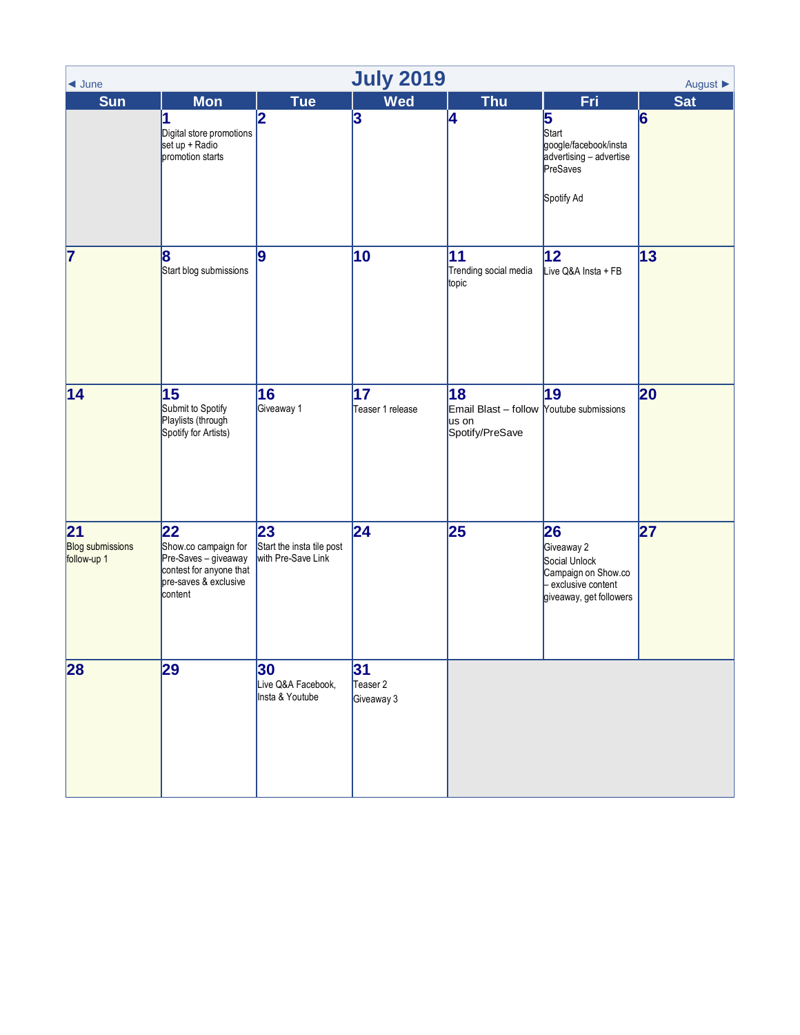<span id="page-0-0"></span>

| <b>July 2019</b><br>August $\blacktriangleright$<br>$\triangleleft$ June |                                                                                                                   |                                                       |                              |                                                                            |                                                                                                            |                 |  |  |  |  |
|--------------------------------------------------------------------------|-------------------------------------------------------------------------------------------------------------------|-------------------------------------------------------|------------------------------|----------------------------------------------------------------------------|------------------------------------------------------------------------------------------------------------|-----------------|--|--|--|--|
| <b>Sun</b>                                                               | <b>Mon</b><br>1<br>Digital store promotions<br>set up + Radio<br>promotion starts                                 | <b>Tue</b><br>2                                       | <b>Wed</b><br>3              | <b>Thu</b><br>4                                                            | <b>Fri</b><br>5<br>Start<br>google/facebook/insta<br>advertising - advertise<br>PreSaves<br>Spotify Ad     | <b>Sat</b><br>6 |  |  |  |  |
| 7                                                                        | 8<br>Start blog submissions                                                                                       | 9                                                     | 10                           | 11<br>Trending social media<br>topic                                       | 12 <br>Live Q&A Insta + FB                                                                                 | 13              |  |  |  |  |
| 14                                                                       | 15<br>Submit to Spotify<br>Playlists (through<br>Spotify for Artists)                                             | 16<br>Giveaway 1                                      | 17<br>Teaser 1 release       | 18<br>Email Blast - follow Youtube submissions<br>us on<br>Spotify/PreSave | 19                                                                                                         | 20              |  |  |  |  |
| 21<br><b>Blog submissions</b><br>follow-up 1                             | 22<br>Show.co campaign for<br>Pre-Saves - giveaway<br>contest for anyone that<br>pre-saves & exclusive<br>content | 23<br>Start the insta tile post<br>with Pre-Save Link | 24                           | 25                                                                         | 26<br>Giveaway 2<br>Social Unlock<br>Campaign on Show.co<br>- exclusive content<br>giveaway, get followers | 27              |  |  |  |  |
| 28                                                                       | 29                                                                                                                | 30<br>Live Q&A Facebook,<br>Insta & Youtube           | 31<br>Teaser 2<br>Giveaway 3 |                                                                            |                                                                                                            |                 |  |  |  |  |